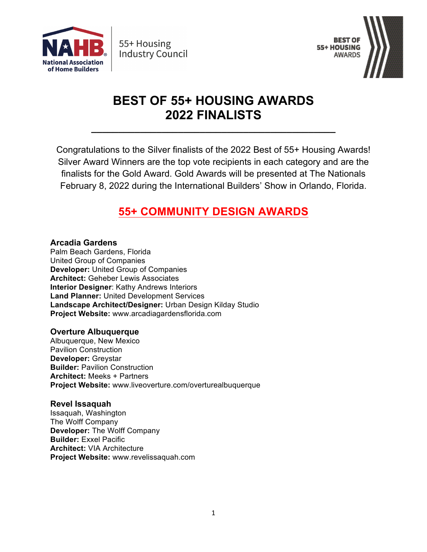



# **BEST OF 55+ HOUSING AWARDS 2022 FINALISTS**

**\_\_\_\_\_\_\_\_\_\_\_\_\_\_\_\_\_\_\_\_\_\_\_\_\_\_\_\_\_\_\_\_\_\_\_\_\_\_\_\_\_\_\_\_\_**

Congratulations to the Silver finalists of the 2022 Best of 55+ Housing Awards! Silver Award Winners are the top vote recipients in each category and are the finalists for the Gold Award. Gold Awards will be presented at The Nationals February 8, 2022 during the International Builders' Show in Orlando, Florida.

## **55+ COMMUNITY DESIGN AWARDS**

**Arcadia Gardens**

Palm Beach Gardens, Florida United Group of Companies **Developer:** United Group of Companies **Architect:** Geheber Lewis Associates **Interior Designer**: Kathy Andrews Interiors **Land Planner:** United Development Services **Landscape Architect/Designer:** Urban Design Kilday Studio **Project Website:** www.arcadiagardensflorida.com

### **Overture Albuquerque**

Albuquerque, New Mexico Pavilion Construction **Developer:** Greystar **Builder:** Pavilion Construction **Architect:** Meeks + Partners **Project Website:** www.liveoverture.com/overturealbuquerque

#### **Revel Issaquah**

Issaquah, Washington The Wolff Company **Developer:** The Wolff Company **Builder:** Exxel Pacific **Architect:** VIA Architecture **Project Website:** www.revelissaquah.com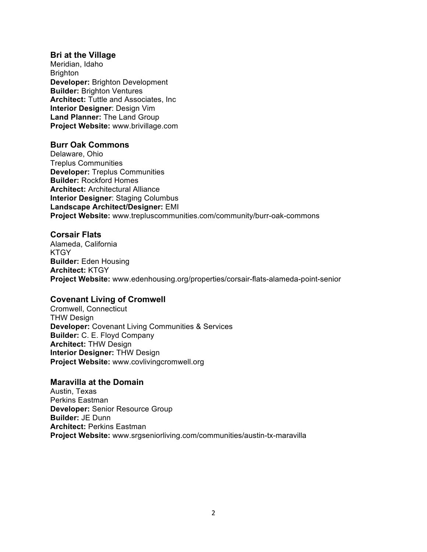#### **Bri at the Village**

Meridian, Idaho Brighton **Developer:** Brighton Development **Builder:** Brighton Ventures **Architect:** Tuttle and Associates, Inc **Interior Designer**: Design Vim **Land Planner:** The Land Group **Project Website:** www.brivillage.com

#### **Burr Oak Commons**

Delaware, Ohio Treplus Communities **Developer:** Treplus Communities **Builder:** Rockford Homes **Architect:** Architectural Alliance **Interior Designer**: Staging Columbus **Landscape Architect/Designer:** EMI **Project Website:** www.trepluscommunities.com/community/burr-oak-commons

#### **Corsair Flats**

Alameda, California **KTGY Builder:** Eden Housing **Architect:** KTGY **Project Website:** www.edenhousing.org/properties/corsair-flats-alameda-point-senior

#### **Covenant Living of Cromwell**

Cromwell, Connecticut THW Design **Developer:** Covenant Living Communities & Services **Builder:** C. E. Floyd Company **Architect:** THW Design **Interior Designer:** THW Design **Project Website:** www.covlivingcromwell.org

#### **Maravilla at the Domain**

Austin, Texas Perkins Eastman **Developer:** Senior Resource Group **Builder:** JE Dunn **Architect:** Perkins Eastman **Project Website:** www.srgseniorliving.com/communities/austin-tx-maravilla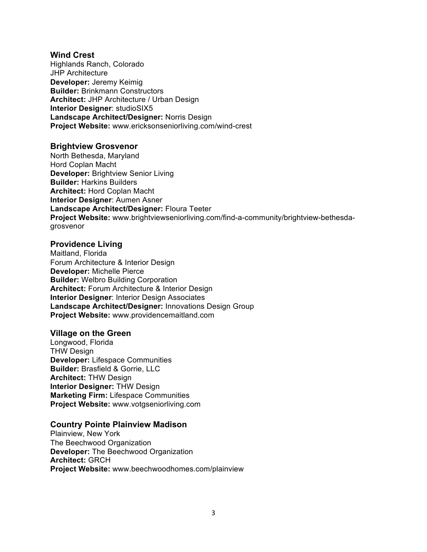#### **Wind Crest**

Highlands Ranch, Colorado JHP Architecture **Developer:** Jeremy Keimig **Builder:** Brinkmann Constructors **Architect:** JHP Architecture / Urban Design **Interior Designer**: studioSIX5 **Landscape Architect/Designer:** Norris Design **Project Website:** www.ericksonseniorliving.com/wind-crest

#### **Brightview Grosvenor**

North Bethesda, Maryland Hord Coplan Macht **Developer:** Brightview Senior Living **Builder:** Harkins Builders **Architect:** Hord Coplan Macht **Interior Designer**: Aumen Asner **Landscape Architect/Designer:** Floura Teeter **Project Website:** www.brightviewseniorliving.com/find-a-community/brightview-bethesdagrosvenor

#### **Providence Living**

Maitland, Florida Forum Architecture & Interior Design **Developer:** Michelle Pierce **Builder:** Welbro Building Corporation **Architect:** Forum Architecture & Interior Design **Interior Designer**: Interior Design Associates **Landscape Architect/Designer:** Innovations Design Group **Project Website:** www.providencemaitland.com

#### **Village on the Green**

Longwood, Florida THW Design **Developer:** Lifespace Communities **Builder:** Brasfield & Gorrie, LLC **Architect:** THW Design **Interior Designer:** THW Design **Marketing Firm:** Lifespace Communities **Project Website:** www.votgseniorliving.com

#### **Country Pointe Plainview Madison**

Plainview, New York The Beechwood Organization **Developer:** The Beechwood Organization **Architect:** GRCH **Project Website:** www.beechwoodhomes.com/plainview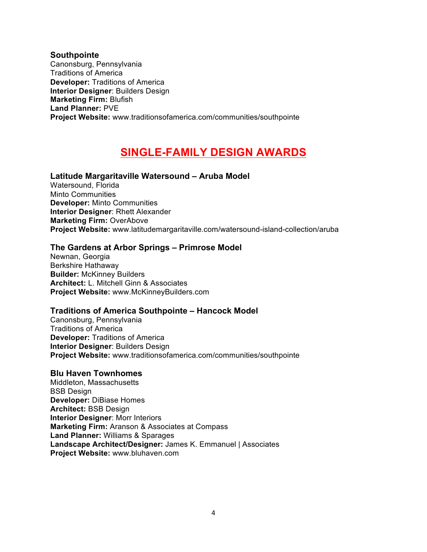**Southpointe** Canonsburg, Pennsylvania Traditions of America **Developer:** Traditions of America **Interior Designer**: Builders Design **Marketing Firm:** Blufish **Land Planner:** PVE **Project Website:** www.traditionsofamerica.com/communities/southpointe

## **SINGLE-FAMILY DESIGN AWARDS**

#### **Latitude Margaritaville Watersound – Aruba Model**

Watersound, Florida Minto Communities **Developer:** Minto Communities **Interior Designer**: Rhett Alexander **Marketing Firm:** OverAbove **Project Website:** www.latitudemargaritaville.com/watersound-island-collection/aruba

#### **The Gardens at Arbor Springs – Primrose Model**

Newnan, Georgia Berkshire Hathaway **Builder:** McKinney Builders **Architect:** L. Mitchell Ginn & Associates **Project Website:** www.McKinneyBuilders.com

#### **Traditions of America Southpointe – Hancock Model**

Canonsburg, Pennsylvania Traditions of America **Developer:** Traditions of America **Interior Designer**: Builders Design **Project Website:** www.traditionsofamerica.com/communities/southpointe

### **Blu Haven Townhomes**

Middleton, Massachusetts BSB Design **Developer:** DiBiase Homes **Architect:** BSB Design **Interior Designer**: Morr Interiors **Marketing Firm:** Aranson & Associates at Compass **Land Planner:** Williams & Sparages **Landscape Architect/Designer:** James K. Emmanuel | Associates **Project Website:** www.bluhaven.com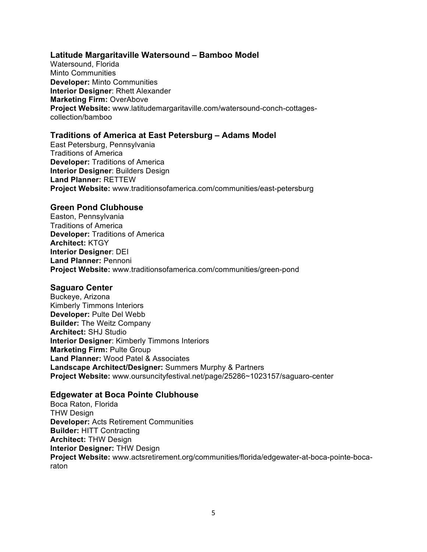#### **Latitude Margaritaville Watersound – Bamboo Model**

Watersound, Florida Minto Communities **Developer:** Minto Communities **Interior Designer**: Rhett Alexander **Marketing Firm:** OverAbove **Project Website:** www.latitudemargaritaville.com/watersound-conch-cottagescollection/bamboo

### **Traditions of America at East Petersburg – Adams Model**

East Petersburg, Pennsylvania Traditions of America **Developer:** Traditions of America **Interior Designer**: Builders Design **Land Planner:** RETTEW **Project Website:** www.traditionsofamerica.com/communities/east-petersburg

#### **Green Pond Clubhouse**

Easton, Pennsylvania Traditions of America **Developer:** Traditions of America **Architect:** KTGY **Interior Designer**: DEI **Land Planner:** Pennoni **Project Website:** www.traditionsofamerica.com/communities/green-pond

#### **Saguaro Center**

Buckeye, Arizona Kimberly Timmons Interiors **Developer:** Pulte Del Webb **Builder:** The Weitz Company **Architect:** SHJ Studio **Interior Designer**: Kimberly Timmons Interiors **Marketing Firm:** Pulte Group **Land Planner:** Wood Patel & Associates **Landscape Architect/Designer:** Summers Murphy & Partners **Project Website:** www.oursuncityfestival.net/page/25286~1023157/saguaro-center

#### **Edgewater at Boca Pointe Clubhouse**

Boca Raton, Florida THW Design **Developer:** Acts Retirement Communities **Builder:** HITT Contracting **Architect:** THW Design **Interior Designer:** THW Design **Project Website:** www.actsretirement.org/communities/florida/edgewater-at-boca-pointe-bocaraton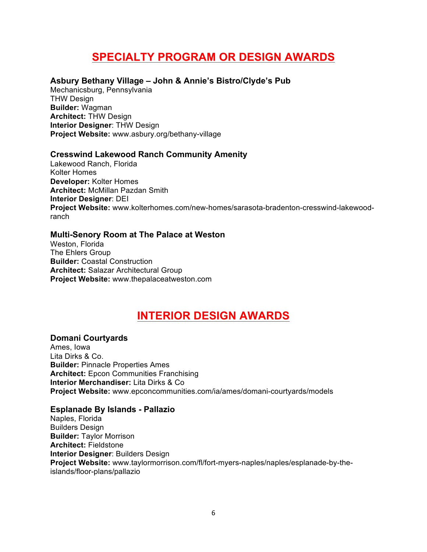## **SPECIALTY PROGRAM OR DESIGN AWARDS**

### **Asbury Bethany Village – John & Annie's Bistro/Clyde's Pub**

Mechanicsburg, Pennsylvania THW Design **Builder:** Wagman **Architect:** THW Design **Interior Designer**: THW Design **Project Website:** www.asbury.org/bethany-village

#### **Cresswind Lakewood Ranch Community Amenity**

Lakewood Ranch, Florida Kolter Homes **Developer:** Kolter Homes **Architect:** McMillan Pazdan Smith **Interior Designer**: DEI **Project Website:** www.kolterhomes.com/new-homes/sarasota-bradenton-cresswind-lakewoodranch

#### **Multi-Senory Room at The Palace at Weston**

Weston, Florida The Ehlers Group **Builder:** Coastal Construction **Architect:** Salazar Architectural Group **Project Website:** www.thepalaceatweston.com

## **INTERIOR DESIGN AWARDS**

#### **Domani Courtyards**

Ames, Iowa Lita Dirks & Co. **Builder:** Pinnacle Properties Ames **Architect:** Epcon Communities Franchising **Interior Merchandiser:** Lita Dirks & Co **Project Website:** www.epconcommunities.com/ia/ames/domani-courtyards/models

#### **Esplanade By Islands - Pallazio**

Naples, Florida Builders Design **Builder:** Taylor Morrison **Architect:** Fieldstone **Interior Designer**: Builders Design **Project Website:** www.taylormorrison.com/fl/fort-myers-naples/naples/esplanade-by-theislands/floor-plans/pallazio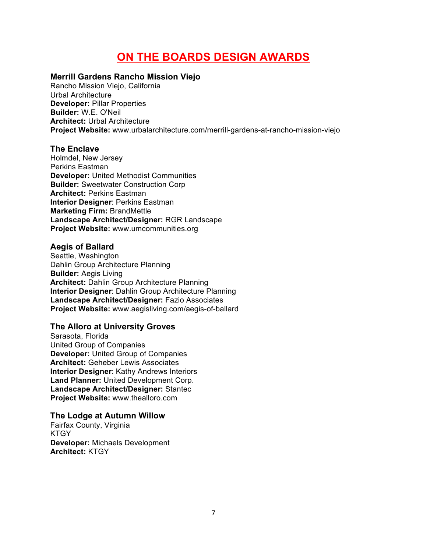## **ON THE BOARDS DESIGN AWARDS**

### **Merrill Gardens Rancho Mission Viejo**

Rancho Mission Viejo, California Urbal Architecture **Developer:** Pillar Properties **Builder:** W.E. O'Neil **Architect:** Urbal Architecture **Project Website:** www.urbalarchitecture.com/merrill-gardens-at-rancho-mission-viejo

#### **The Enclave**

Holmdel, New Jersey Perkins Eastman **Developer:** United Methodist Communities **Builder:** Sweetwater Construction Corp **Architect:** Perkins Eastman **Interior Designer**: Perkins Eastman **Marketing Firm:** BrandMettle **Landscape Architect/Designer:** RGR Landscape **Project Website:** www.umcommunities.org

#### **Aegis of Ballard**

Seattle, Washington Dahlin Group Architecture Planning **Builder:** Aegis Living **Architect:** Dahlin Group Architecture Planning **Interior Designer**: Dahlin Group Architecture Planning **Landscape Architect/Designer:** Fazio Associates **Project Website:** www.aegisliving.com/aegis-of-ballard

### **The Alloro at University Groves**

Sarasota, Florida United Group of Companies **Developer:** United Group of Companies **Architect:** Geheber Lewis Associates **Interior Designer**: Kathy Andrews Interiors **Land Planner:** United Development Corp. **Landscape Architect/Designer:** Stantec **Project Website:** www.thealloro.com

#### **The Lodge at Autumn Willow**

Fairfax County, Virginia **KTGY Developer:** Michaels Development **Architect:** KTGY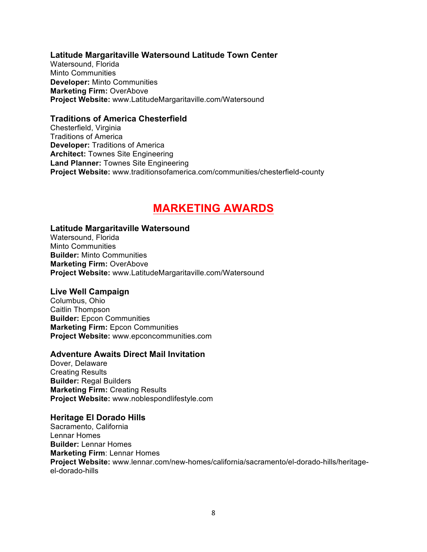#### **Latitude Margaritaville Watersound Latitude Town Center**

Watersound, Florida Minto Communities **Developer:** Minto Communities **Marketing Firm:** OverAbove **Project Website:** www.LatitudeMargaritaville.com/Watersound

#### **Traditions of America Chesterfield**

Chesterfield, Virginia Traditions of America **Developer:** Traditions of America **Architect:** Townes Site Engineering **Land Planner:** Townes Site Engineering **Project Website:** www.traditionsofamerica.com/communities/chesterfield-county

## **MARKETING AWARDS**

#### **Latitude Margaritaville Watersound**

Watersound, Florida Minto Communities **Builder:** Minto Communities **Marketing Firm:** OverAbove **Project Website:** www.LatitudeMargaritaville.com/Watersound

#### **Live Well Campaign**

Columbus, Ohio Caitlin Thompson **Builder:** Epcon Communities **Marketing Firm:** Epcon Communities **Project Website:** www.epconcommunities.com

#### **Adventure Awaits Direct Mail Invitation**

Dover, Delaware Creating Results **Builder:** Regal Builders **Marketing Firm:** Creating Results **Project Website:** www.noblespondlifestyle.com

#### **Heritage El Dorado Hills**

Sacramento, California Lennar Homes **Builder:** Lennar Homes **Marketing Firm**: Lennar Homes **Project Website:** www.lennar.com/new-homes/california/sacramento/el-dorado-hills/heritageel-dorado-hills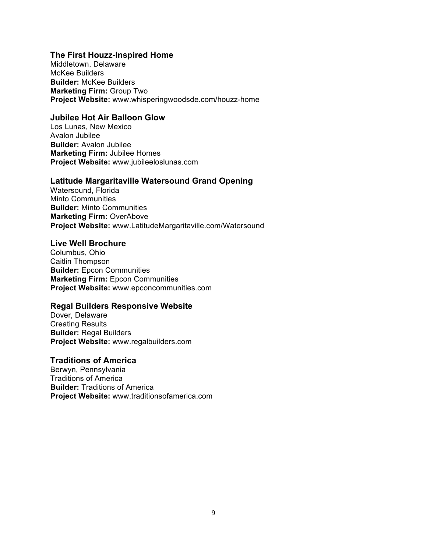#### **The First Houzz-Inspired Home**

Middletown, Delaware McKee Builders **Builder:** McKee Builders **Marketing Firm:** Group Two **Project Website:** www.whisperingwoodsde.com/houzz-home

#### **Jubilee Hot Air Balloon Glow**

Los Lunas, New Mexico Avalon Jubilee **Builder:** Avalon Jubilee **Marketing Firm:** Jubilee Homes **Project Website:** www.jubileeloslunas.com

#### **Latitude Margaritaville Watersound Grand Opening**

Watersound, Florida Minto Communities **Builder:** Minto Communities **Marketing Firm:** OverAbove **Project Website:** www.LatitudeMargaritaville.com/Watersound

#### **Live Well Brochure**

Columbus, Ohio Caitlin Thompson **Builder:** Epcon Communities **Marketing Firm:** Epcon Communities **Project Website:** www.epconcommunities.com

#### **Regal Builders Responsive Website**

Dover, Delaware Creating Results **Builder:** Regal Builders **Project Website:** www.regalbuilders.com

#### **Traditions of America**

Berwyn, Pennsylvania Traditions of America **Builder:** Traditions of America **Project Website:** www.traditionsofamerica.com